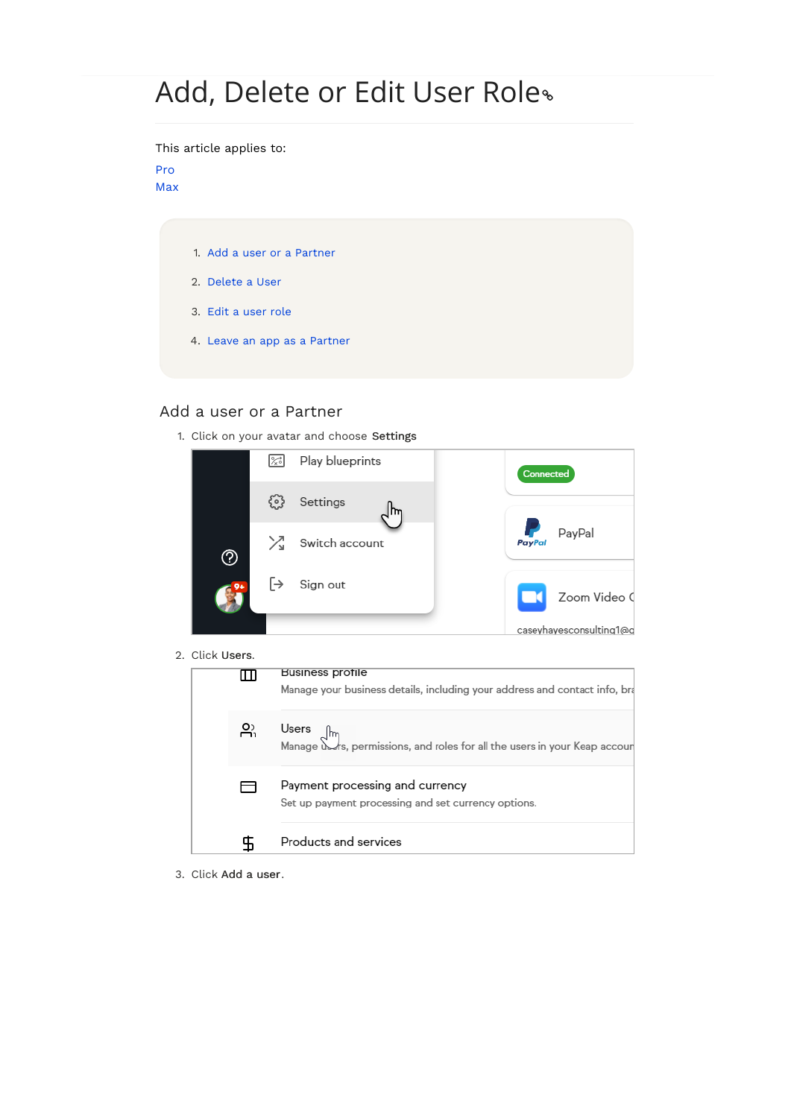# Add, Delete or Edit User Role

This article applies to:

#### [Pro](http://bit.ly/2WNQ7vw) [Max](https://keap.com/keap-max)

- 1. Add a user or a [Partner](http://help.keap.com/#add-a-user-or-a-partner)
- 2. [Delete](http://help.keap.com/#delete-a-user) a User
- 3. Edit a [user](http://help.keap.com/#edit-a-user-role) role
- 4. Leave an app as a [Partner](http://help.keap.com/#leave-an-app-as-a-partner)

## Add a user or a Partner

1. Click on your avatar and choose Settings



2. Click Users.

| uuun ustiis. |           | <b>Business profile</b><br>Manage your business details, including your address and contact info, bra |
|--------------|-----------|-------------------------------------------------------------------------------------------------------|
|              | <u>ည့</u> | Users $\int_{\text{Im}}$<br>Manage Wrs, permissions, and roles for all the users in your Keap accour  |
|              |           | Payment processing and currency<br>Set up payment processing and set currency options.                |
|              |           | Products and services                                                                                 |

3. Click Add a user .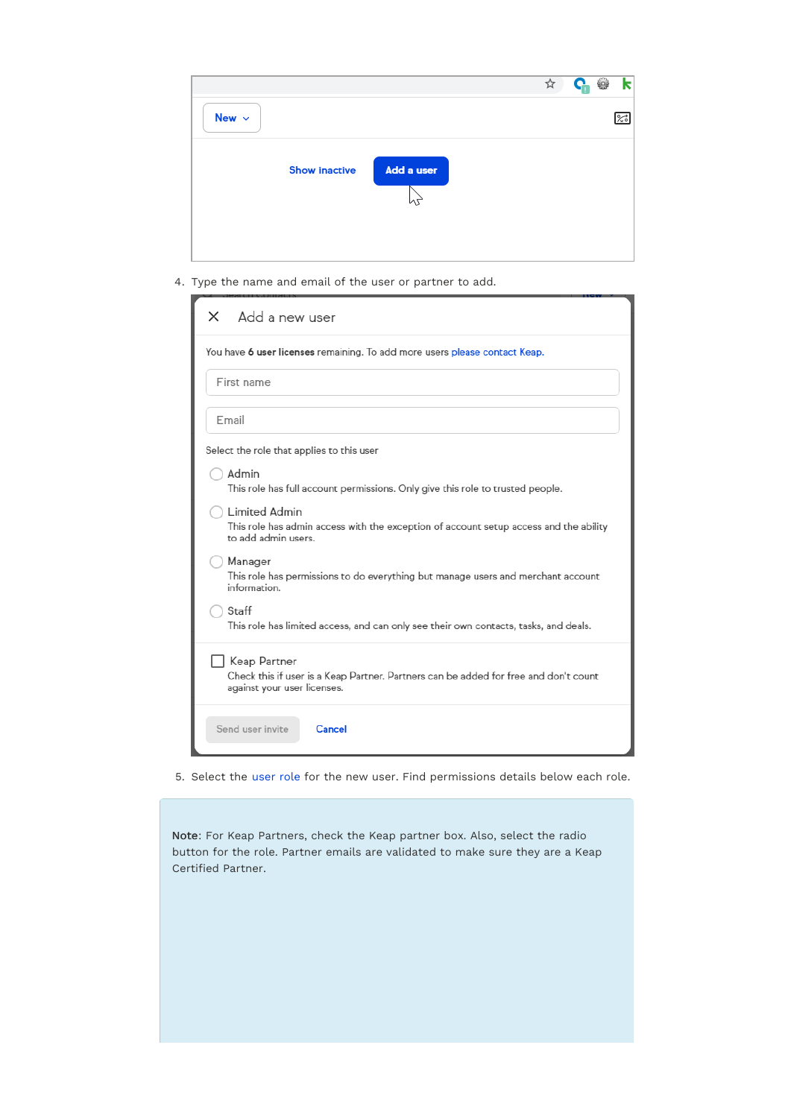

4. Type the name and email of the user or partner to add.

| Add a new user<br>x                                                                                                                 |  |  |
|-------------------------------------------------------------------------------------------------------------------------------------|--|--|
| You have 6 user licenses remaining. To add more users please contact Keap.                                                          |  |  |
| First name                                                                                                                          |  |  |
| Email                                                                                                                               |  |  |
| Select the role that applies to this user                                                                                           |  |  |
| Admin<br>This role has full account permissions. Only give this role to trusted people.                                             |  |  |
| Limited Admin<br>This role has admin access with the exception of account setup access and the ability<br>to add admin users.       |  |  |
| Manager<br>This role has permissions to do everything but manage users and merchant account<br>information.                         |  |  |
| Staff<br>This role has limited access, and can only see their own contacts, tasks, and deals.                                       |  |  |
| Keap Partner<br>Check this if user is a Keap Partner. Partners can be added for free and don't count<br>against your user licenses. |  |  |
| Send user invite<br>Cancel                                                                                                          |  |  |

5. Select the [user](http://help.keap.com/help/user-roles) role for the new user. Find permissions details below each role.

Note: For Keap Partners, check the Keap partner box. Also, select the radio button for the role. Partner emails are validated to make sure they are a Keap Certified Partner.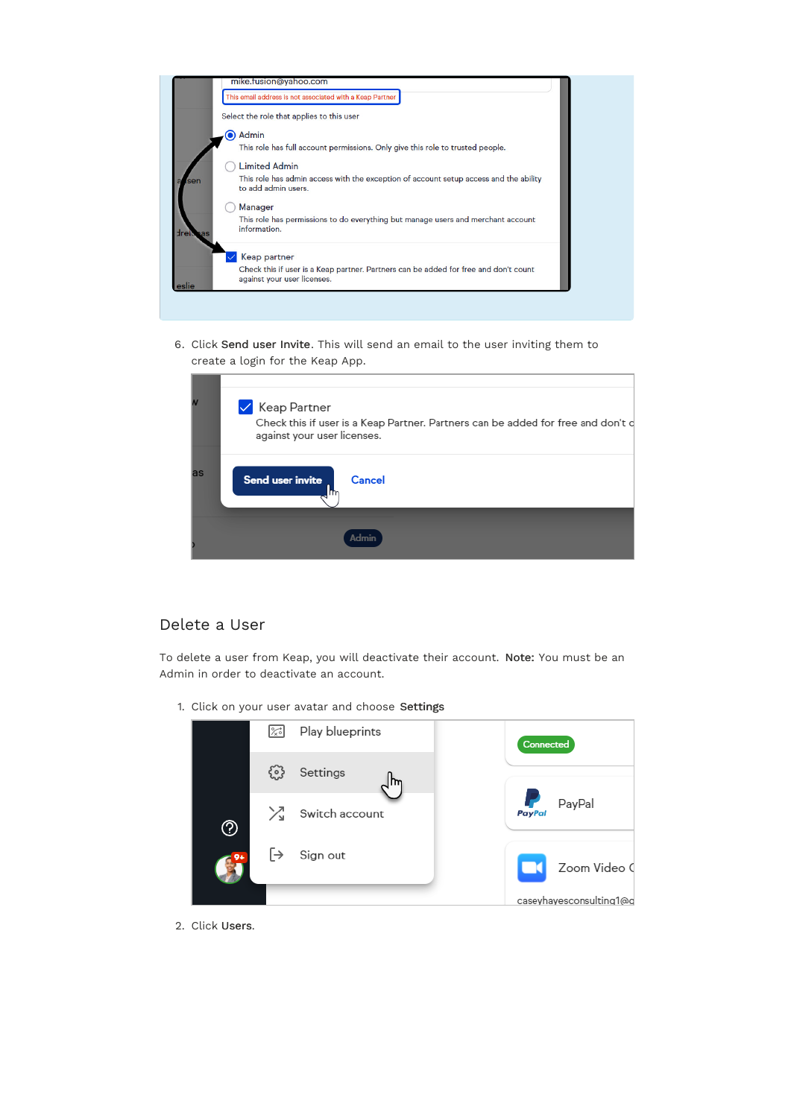

6. Click Send user Invite. This will send an email to the user inviting them to create a login for the Keap App.

|    | ✔ Keap Partner<br>Check this if user is a Keap Partner. Partners can be added for free and don't c<br>against your user licenses. |
|----|-----------------------------------------------------------------------------------------------------------------------------------|
| as | Send user invite<br>Cancel                                                                                                        |
|    |                                                                                                                                   |

## Delete a User

To delete a user from Keap, you will deactivate their account. Note: You must be an Admin in order to deactivate an account.

1. Click on your user avatar and choose Settings



2. Click Users.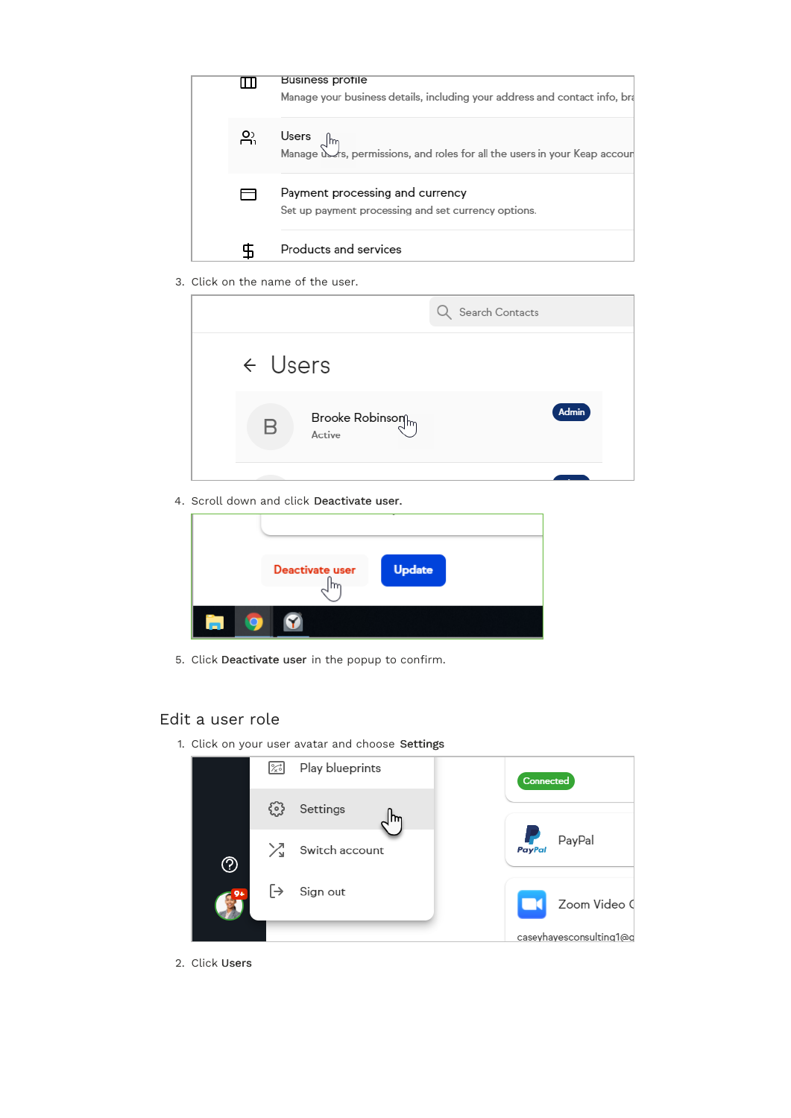

3. Click on the name of the user.

|                                                                      | Search Contacts |
|----------------------------------------------------------------------|-----------------|
| $\leftarrow$ Users                                                   |                 |
| $\begin{array}{c} \mathrm{Brooke~Robinson} \\ \end{array}$<br>Active | Admin           |
|                                                                      |                 |

4. Scroll down and click Deactivate user.

| Deactivate user | Update |
|-----------------|--------|
|                 |        |

5. Click Deactivate user in the popup to confirm.

## Edit a user role

1. Click on your user avatar and choose Settings

|    | $\frac{1}{2}$ | Play blueprints | Connected                              |
|----|---------------|-----------------|----------------------------------------|
|    | ट्रे ०३       | Settings<br>m   |                                        |
| ℗  | ⋊             | Switch account  | <b>Participate</b><br>PayPal<br>PayPal |
| o. | $\mapsto$     | Sign out        | Zoom Video (                           |
|    |               |                 | caseyhayesconsulting1@g                |

2. Click Users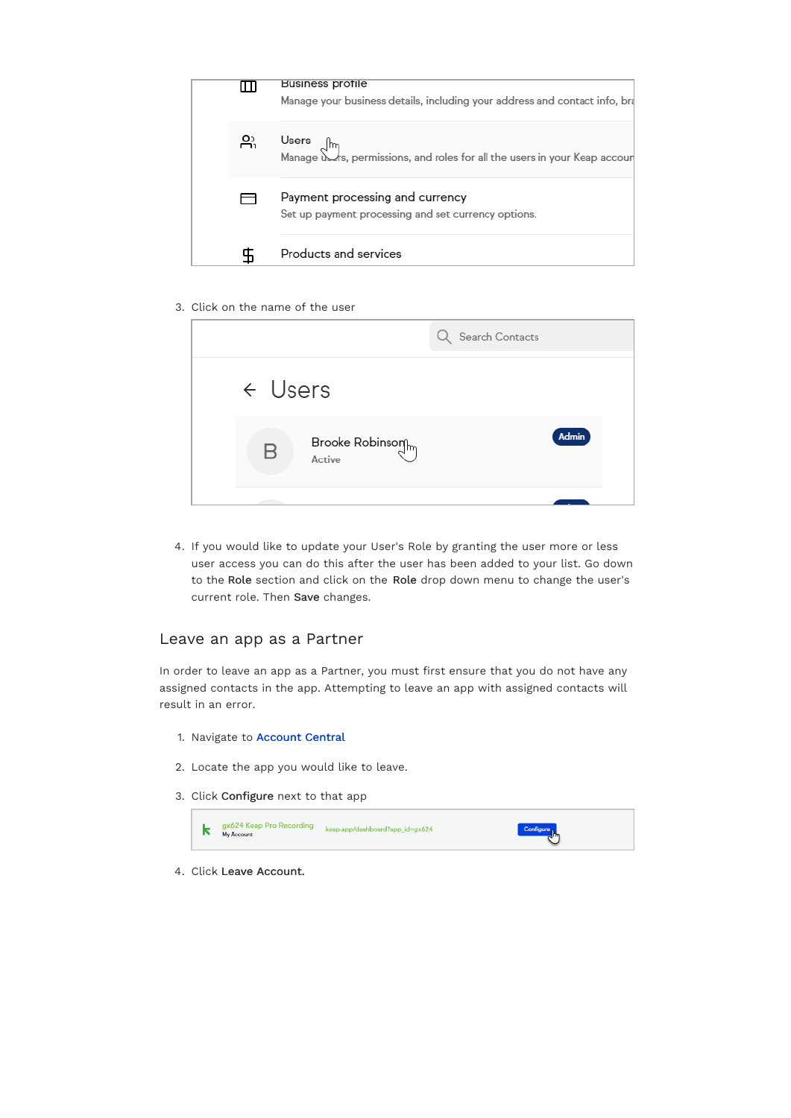

3. Click on the name of the user

|                           | Search Contacts |
|---------------------------|-----------------|
| $\leftarrow$ Users        |                 |
| Brooke Robinson<br>Active | Admin           |
|                           |                 |

4. If you would like to update your User's Role by granting the user more or less user access you can do this after the user has been added to your list. Go down to the Role section and click on the Role drop down menu to change the user's current role. Then Save changes.

#### Leave an app as a Partner

In order to leave an app as a Partner, you must first ensure that you do not have any assigned contacts in the app. Attempting to leave an app with assigned contacts will result in an error.

- 1. Navigate to [Account](https://accounts.infusionsoft.com/app/central/home) Central
- 2. Locate the app you would like to leave.
- 3. Click Configure next to that app



4. Click Leave Account.